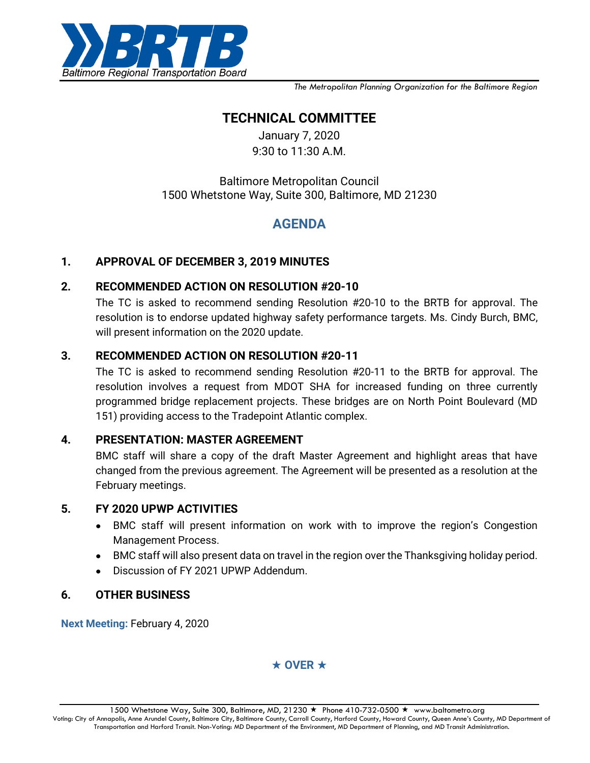

*The Metropolitan Planning Organization for the Baltimore Region*

# **TECHNICAL COMMITTEE**

January 7, 2020 9:30 to 11:30 A.M.

## Baltimore Metropolitan Council 1500 Whetstone Way, Suite 300, Baltimore, MD 21230

# **AGENDA**

### **1. APPROVAL OF DECEMBER 3, 2019 MINUTES**

#### **2. RECOMMENDED ACTION ON RESOLUTION #20-10**

The TC is asked to recommend sending Resolution #20-10 to the BRTB for approval. The resolution is to endorse updated highway safety performance targets. Ms. Cindy Burch, BMC, will present information on the 2020 update.

#### **3. RECOMMENDED ACTION ON RESOLUTION #20-11**

The TC is asked to recommend sending Resolution #20-11 to the BRTB for approval. The resolution involves a request from MDOT SHA for increased funding on three currently programmed bridge replacement projects. These bridges are on North Point Boulevard (MD 151) providing access to the Tradepoint Atlantic complex.

#### **4. PRESENTATION: MASTER AGREEMENT**

BMC staff will share a copy of the draft Master Agreement and highlight areas that have changed from the previous agreement. The Agreement will be presented as a resolution at the February meetings.

#### **5. FY 2020 UPWP ACTIVITIES**

- BMC staff will present information on work with to improve the region's Congestion Management Process.
- BMC staff will also present data on travel in the region over the Thanksgiving holiday period.
- Discussion of FY 2021 UPWP Addendum.

#### **6. OTHER BUSINESS**

**Next Meeting:** February 4, 2020

### $\star$  OVER  $\star$